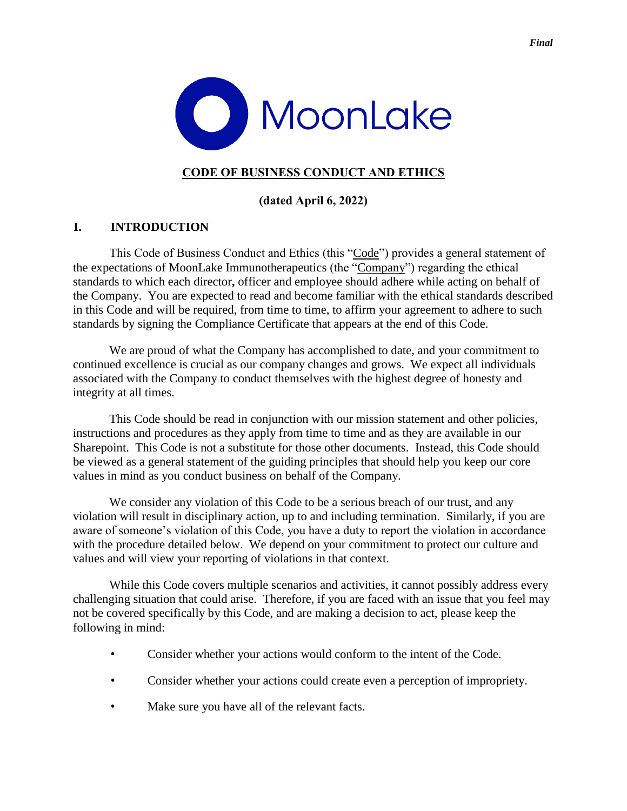



# **CODE OF BUSINESS CONDUCT AND ETHICS**

## **(dated April 6, 2022)**

# **I. INTRODUCTION**

This Code of Business Conduct and Ethics (this "Code") provides a general statement of the expectations of MoonLake Immunotherapeutics (the "Company") regarding the ethical standards to which each director**,** officer and employee should adhere while acting on behalf of the Company. You are expected to read and become familiar with the ethical standards described in this Code and will be required, from time to time, to affirm your agreement to adhere to such standards by signing the Compliance Certificate that appears at the end of this Code.

We are proud of what the Company has accomplished to date, and your commitment to continued excellence is crucial as our company changes and grows. We expect all individuals associated with the Company to conduct themselves with the highest degree of honesty and integrity at all times.

This Code should be read in conjunction with our mission statement and other policies, instructions and procedures as they apply from time to time and as they are available in our Sharepoint. This Code is not a substitute for those other documents. Instead, this Code should be viewed as a general statement of the guiding principles that should help you keep our core values in mind as you conduct business on behalf of the Company.

We consider any violation of this Code to be a serious breach of our trust, and any violation will result in disciplinary action, up to and including termination. Similarly, if you are aware of someone's violation of this Code, you have a duty to report the violation in accordance with the procedure detailed below. We depend on your commitment to protect our culture and values and will view your reporting of violations in that context.

While this Code covers multiple scenarios and activities, it cannot possibly address every challenging situation that could arise. Therefore, if you are faced with an issue that you feel may not be covered specifically by this Code, and are making a decision to act, please keep the following in mind:

- Consider whether your actions would conform to the intent of the Code.
- Consider whether your actions could create even a perception of impropriety.
- Make sure you have all of the relevant facts.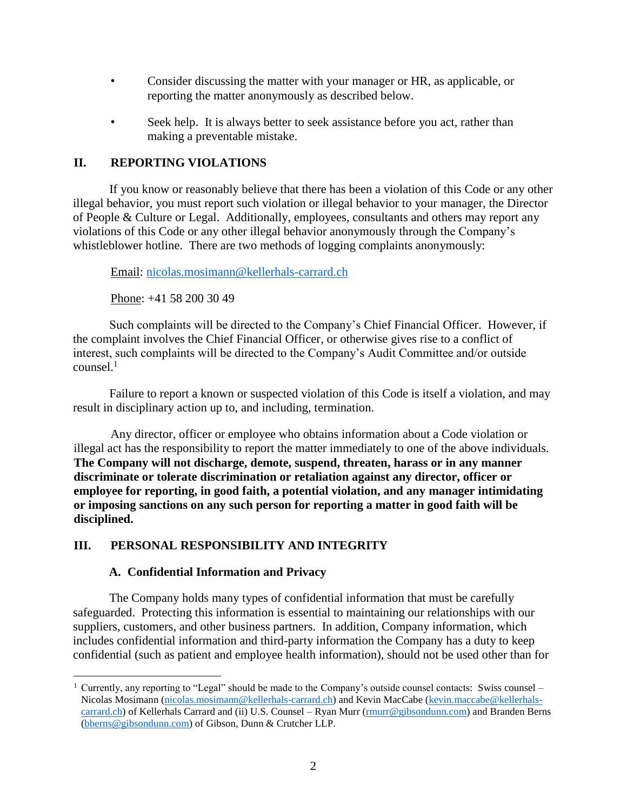- Consider discussing the matter with your manager or HR, as applicable, or reporting the matter anonymously as described below.
- Seek help. It is always better to seek assistance before you act, rather than making a preventable mistake.

## **II. REPORTING VIOLATIONS**

If you know or reasonably believe that there has been a violation of this Code or any other illegal behavior, you must report such violation or illegal behavior to your manager, the Director of People & Culture or Legal. Additionally, employees, consultants and others may report any violations of this Code or any other illegal behavior anonymously through the Company's whistleblower hotline. There are two methods of logging complaints anonymously:

Email: [nicolas.mosimann@kellerhals-carrard.ch](mailto:nicolas.mosimann@kellerhals-carrard.ch)

Phone: +41 58 200 30 49

Such complaints will be directed to the Company's Chief Financial Officer. However, if the complaint involves the Chief Financial Officer, or otherwise gives rise to a conflict of interest, such complaints will be directed to the Company's Audit Committee and/or outside  $\text{counts}$ el.<sup>1</sup>

Failure to report a known or suspected violation of this Code is itself a violation, and may result in disciplinary action up to, and including, termination.

Any director, officer or employee who obtains information about a Code violation or illegal act has the responsibility to report the matter immediately to one of the above individuals. **The Company will not discharge, demote, suspend, threaten, harass or in any manner discriminate or tolerate discrimination or retaliation against any director, officer or employee for reporting, in good faith, a potential violation, and any manager intimidating or imposing sanctions on any such person for reporting a matter in good faith will be disciplined.** 

# **III. PERSONAL RESPONSIBILITY AND INTEGRITY**

# **A. Confidential Information and Privacy**

 $\overline{a}$ 

The Company holds many types of confidential information that must be carefully safeguarded. Protecting this information is essential to maintaining our relationships with our suppliers, customers, and other business partners. In addition, Company information, which includes confidential information and third-party information the Company has a duty to keep confidential (such as patient and employee health information), should not be used other than for

<sup>&</sup>lt;sup>1</sup> Currently, any reporting to "Legal" should be made to the Company's outside counsel contacts: Swiss counsel – Nicolas Mosimann [\(nicolas.mosimann@kellerhals-carrard.ch\)](mailto:nicolas.mosimann@kellerhals-carrard.ch) and Kevin MacCabe [\(kevin.maccabe@kellerhals](mailto:kevin.maccabe@kellerhals-carrard.ch)[carrard.ch\)](mailto:kevin.maccabe@kellerhals-carrard.ch) of Kellerhals Carrard and (ii) U.S. Counsel – Ryan Murr [\(rmurr@gibsondunn.com\)](mailto:rmurr@gibsondunn.com) and Branden Berns [\(bberns@gibsondunn.com\)](mailto:bberns@gibsondunn.com) of Gibson, Dunn & Crutcher LLP.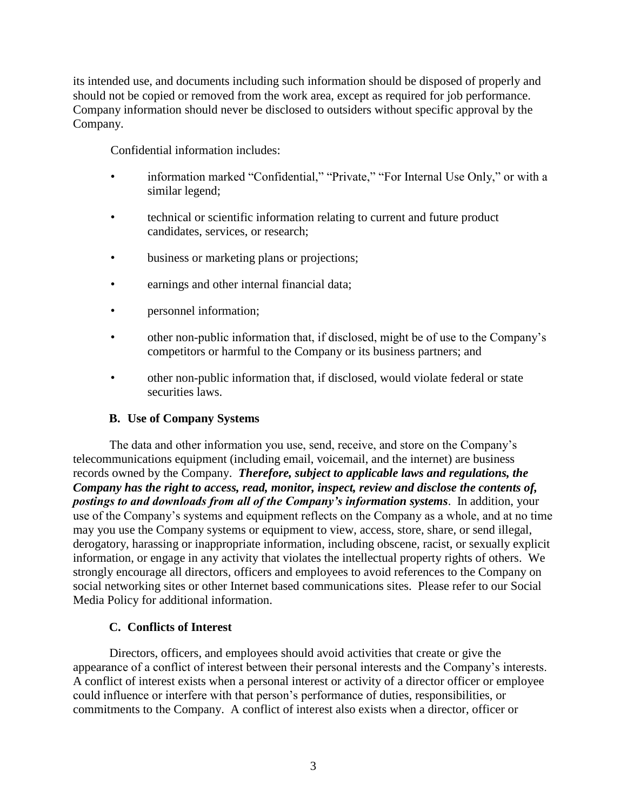its intended use, and documents including such information should be disposed of properly and should not be copied or removed from the work area, except as required for job performance. Company information should never be disclosed to outsiders without specific approval by the Company.

Confidential information includes:

- information marked "Confidential," "Private," "For Internal Use Only," or with a similar legend;
- technical or scientific information relating to current and future product candidates, services, or research;
- business or marketing plans or projections;
- earnings and other internal financial data;
- **personnel information**;
- other non-public information that, if disclosed, might be of use to the Company's competitors or harmful to the Company or its business partners; and
- other non-public information that, if disclosed, would violate federal or state securities laws.

# **B. Use of Company Systems**

The data and other information you use, send, receive, and store on the Company's telecommunications equipment (including email, voicemail, and the internet) are business records owned by the Company. *Therefore, subject to applicable laws and regulations, the Company has the right to access, read, monitor, inspect, review and disclose the contents of, postings to and downloads from all of the Company's information systems*. In addition, your use of the Company's systems and equipment reflects on the Company as a whole, and at no time may you use the Company systems or equipment to view, access, store, share, or send illegal, derogatory, harassing or inappropriate information, including obscene, racist, or sexually explicit information, or engage in any activity that violates the intellectual property rights of others. We strongly encourage all directors, officers and employees to avoid references to the Company on social networking sites or other Internet based communications sites. Please refer to our Social Media Policy for additional information.

# **C. Conflicts of Interest**

Directors, officers, and employees should avoid activities that create or give the appearance of a conflict of interest between their personal interests and the Company's interests. A conflict of interest exists when a personal interest or activity of a director officer or employee could influence or interfere with that person's performance of duties, responsibilities, or commitments to the Company. A conflict of interest also exists when a director, officer or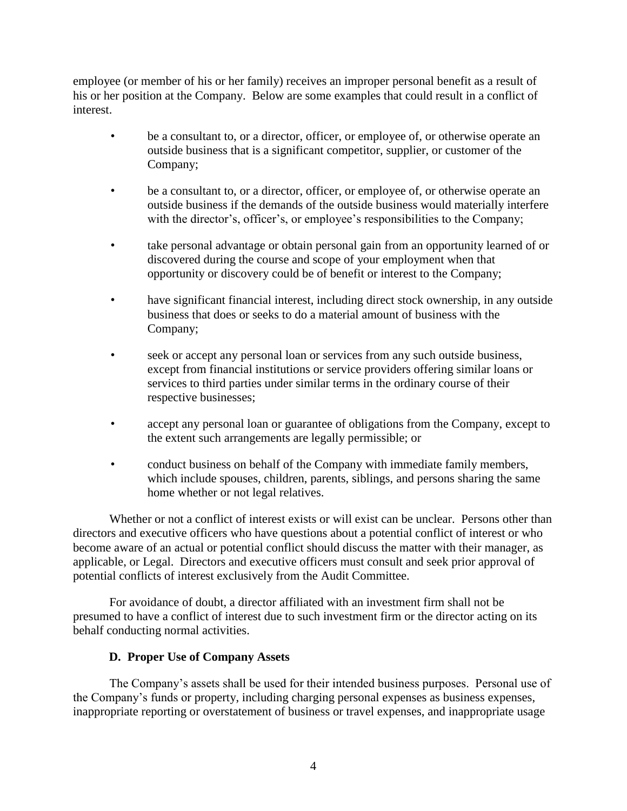employee (or member of his or her family) receives an improper personal benefit as a result of his or her position at the Company. Below are some examples that could result in a conflict of interest.

- be a consultant to, or a director, officer, or employee of, or otherwise operate an outside business that is a significant competitor, supplier, or customer of the Company;
- be a consultant to, or a director, officer, or employee of, or otherwise operate an outside business if the demands of the outside business would materially interfere with the director's, officer's, or employee's responsibilities to the Company;
- take personal advantage or obtain personal gain from an opportunity learned of or discovered during the course and scope of your employment when that opportunity or discovery could be of benefit or interest to the Company;
- have significant financial interest, including direct stock ownership, in any outside business that does or seeks to do a material amount of business with the Company;
- seek or accept any personal loan or services from any such outside business, except from financial institutions or service providers offering similar loans or services to third parties under similar terms in the ordinary course of their respective businesses;
- accept any personal loan or guarantee of obligations from the Company, except to the extent such arrangements are legally permissible; or
- conduct business on behalf of the Company with immediate family members, which include spouses, children, parents, siblings, and persons sharing the same home whether or not legal relatives.

Whether or not a conflict of interest exists or will exist can be unclear. Persons other than directors and executive officers who have questions about a potential conflict of interest or who become aware of an actual or potential conflict should discuss the matter with their manager, as applicable, or Legal. Directors and executive officers must consult and seek prior approval of potential conflicts of interest exclusively from the Audit Committee.

For avoidance of doubt, a director affiliated with an investment firm shall not be presumed to have a conflict of interest due to such investment firm or the director acting on its behalf conducting normal activities.

# **D. Proper Use of Company Assets**

The Company's assets shall be used for their intended business purposes. Personal use of the Company's funds or property, including charging personal expenses as business expenses, inappropriate reporting or overstatement of business or travel expenses, and inappropriate usage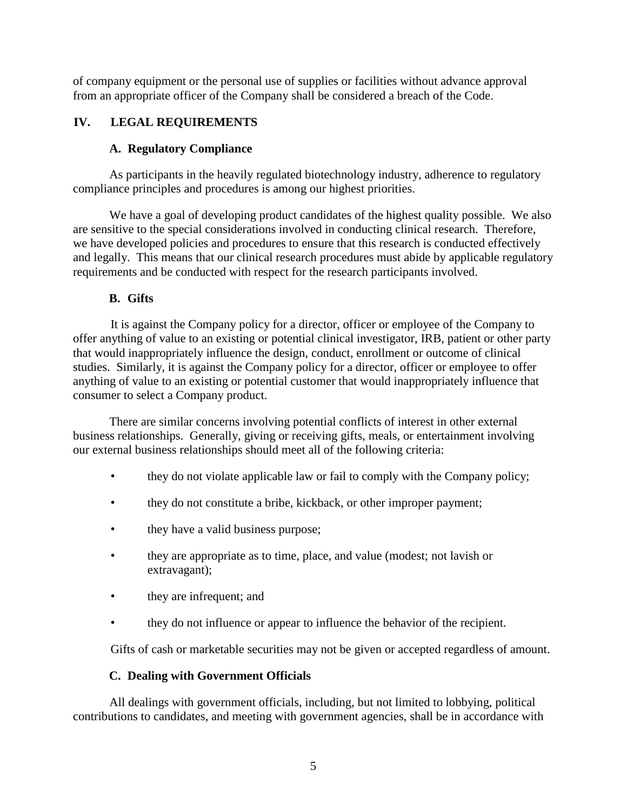of company equipment or the personal use of supplies or facilities without advance approval from an appropriate officer of the Company shall be considered a breach of the Code.

# **IV. LEGAL REQUIREMENTS**

## **A. Regulatory Compliance**

As participants in the heavily regulated biotechnology industry, adherence to regulatory compliance principles and procedures is among our highest priorities.

We have a goal of developing product candidates of the highest quality possible. We also are sensitive to the special considerations involved in conducting clinical research. Therefore, we have developed policies and procedures to ensure that this research is conducted effectively and legally. This means that our clinical research procedures must abide by applicable regulatory requirements and be conducted with respect for the research participants involved.

## **B. Gifts**

It is against the Company policy for a director, officer or employee of the Company to offer anything of value to an existing or potential clinical investigator, IRB, patient or other party that would inappropriately influence the design, conduct, enrollment or outcome of clinical studies. Similarly, it is against the Company policy for a director, officer or employee to offer anything of value to an existing or potential customer that would inappropriately influence that consumer to select a Company product.

There are similar concerns involving potential conflicts of interest in other external business relationships. Generally, giving or receiving gifts, meals, or entertainment involving our external business relationships should meet all of the following criteria:

- they do not violate applicable law or fail to comply with the Company policy;
- they do not constitute a bribe, kickback, or other improper payment;
- they have a valid business purpose;
- they are appropriate as to time, place, and value (modest; not lavish or extravagant);
- they are infrequent; and
- they do not influence or appear to influence the behavior of the recipient.

Gifts of cash or marketable securities may not be given or accepted regardless of amount.

## **C. Dealing with Government Officials**

All dealings with government officials, including, but not limited to lobbying, political contributions to candidates, and meeting with government agencies, shall be in accordance with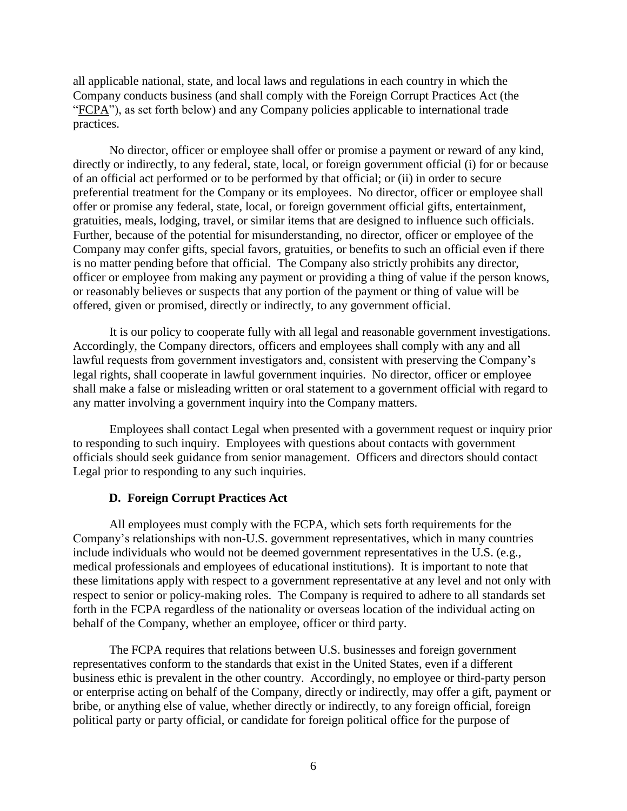all applicable national, state, and local laws and regulations in each country in which the Company conducts business (and shall comply with the Foreign Corrupt Practices Act (the "FCPA"), as set forth below) and any Company policies applicable to international trade practices.

No director, officer or employee shall offer or promise a payment or reward of any kind, directly or indirectly, to any federal, state, local, or foreign government official (i) for or because of an official act performed or to be performed by that official; or (ii) in order to secure preferential treatment for the Company or its employees. No director, officer or employee shall offer or promise any federal, state, local, or foreign government official gifts, entertainment, gratuities, meals, lodging, travel, or similar items that are designed to influence such officials. Further, because of the potential for misunderstanding, no director, officer or employee of the Company may confer gifts, special favors, gratuities, or benefits to such an official even if there is no matter pending before that official. The Company also strictly prohibits any director, officer or employee from making any payment or providing a thing of value if the person knows, or reasonably believes or suspects that any portion of the payment or thing of value will be offered, given or promised, directly or indirectly, to any government official.

It is our policy to cooperate fully with all legal and reasonable government investigations. Accordingly, the Company directors, officers and employees shall comply with any and all lawful requests from government investigators and, consistent with preserving the Company's legal rights, shall cooperate in lawful government inquiries. No director, officer or employee shall make a false or misleading written or oral statement to a government official with regard to any matter involving a government inquiry into the Company matters.

Employees shall contact Legal when presented with a government request or inquiry prior to responding to such inquiry. Employees with questions about contacts with government officials should seek guidance from senior management. Officers and directors should contact Legal prior to responding to any such inquiries.

#### **D. Foreign Corrupt Practices Act**

All employees must comply with the FCPA, which sets forth requirements for the Company's relationships with non-U.S. government representatives, which in many countries include individuals who would not be deemed government representatives in the U.S. (e.g., medical professionals and employees of educational institutions). It is important to note that these limitations apply with respect to a government representative at any level and not only with respect to senior or policy-making roles. The Company is required to adhere to all standards set forth in the FCPA regardless of the nationality or overseas location of the individual acting on behalf of the Company, whether an employee, officer or third party.

The FCPA requires that relations between U.S. businesses and foreign government representatives conform to the standards that exist in the United States, even if a different business ethic is prevalent in the other country. Accordingly, no employee or third-party person or enterprise acting on behalf of the Company, directly or indirectly, may offer a gift, payment or bribe, or anything else of value, whether directly or indirectly, to any foreign official, foreign political party or party official, or candidate for foreign political office for the purpose of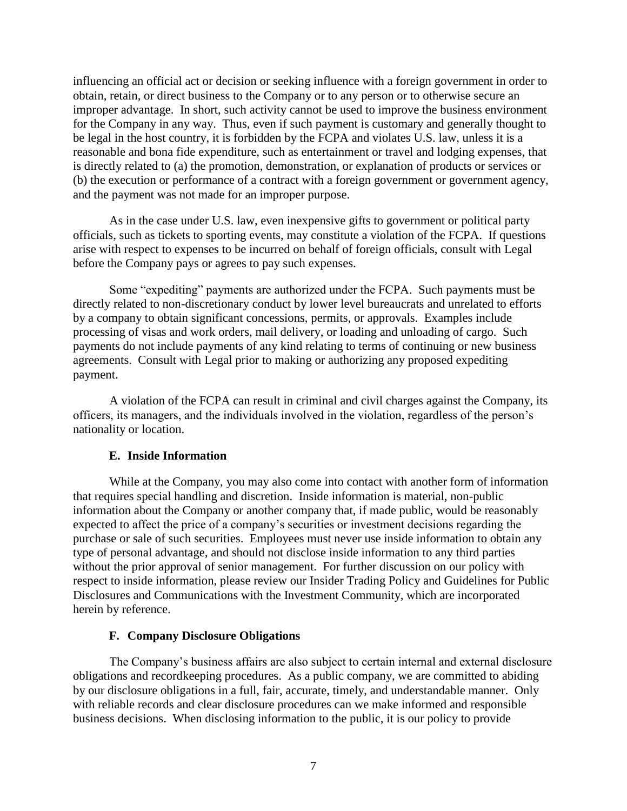influencing an official act or decision or seeking influence with a foreign government in order to obtain, retain, or direct business to the Company or to any person or to otherwise secure an improper advantage. In short, such activity cannot be used to improve the business environment for the Company in any way. Thus, even if such payment is customary and generally thought to be legal in the host country, it is forbidden by the FCPA and violates U.S. law, unless it is a reasonable and bona fide expenditure, such as entertainment or travel and lodging expenses, that is directly related to (a) the promotion, demonstration, or explanation of products or services or (b) the execution or performance of a contract with a foreign government or government agency, and the payment was not made for an improper purpose.

As in the case under U.S. law, even inexpensive gifts to government or political party officials, such as tickets to sporting events, may constitute a violation of the FCPA. If questions arise with respect to expenses to be incurred on behalf of foreign officials, consult with Legal before the Company pays or agrees to pay such expenses.

Some "expediting" payments are authorized under the FCPA. Such payments must be directly related to non-discretionary conduct by lower level bureaucrats and unrelated to efforts by a company to obtain significant concessions, permits, or approvals. Examples include processing of visas and work orders, mail delivery, or loading and unloading of cargo. Such payments do not include payments of any kind relating to terms of continuing or new business agreements. Consult with Legal prior to making or authorizing any proposed expediting payment.

A violation of the FCPA can result in criminal and civil charges against the Company, its officers, its managers, and the individuals involved in the violation, regardless of the person's nationality or location.

## **E. Inside Information**

While at the Company, you may also come into contact with another form of information that requires special handling and discretion. Inside information is material, non-public information about the Company or another company that, if made public, would be reasonably expected to affect the price of a company's securities or investment decisions regarding the purchase or sale of such securities. Employees must never use inside information to obtain any type of personal advantage, and should not disclose inside information to any third parties without the prior approval of senior management. For further discussion on our policy with respect to inside information, please review our Insider Trading Policy and Guidelines for Public Disclosures and Communications with the Investment Community, which are incorporated herein by reference.

#### **F. Company Disclosure Obligations**

The Company's business affairs are also subject to certain internal and external disclosure obligations and recordkeeping procedures. As a public company, we are committed to abiding by our disclosure obligations in a full, fair, accurate, timely, and understandable manner. Only with reliable records and clear disclosure procedures can we make informed and responsible business decisions. When disclosing information to the public, it is our policy to provide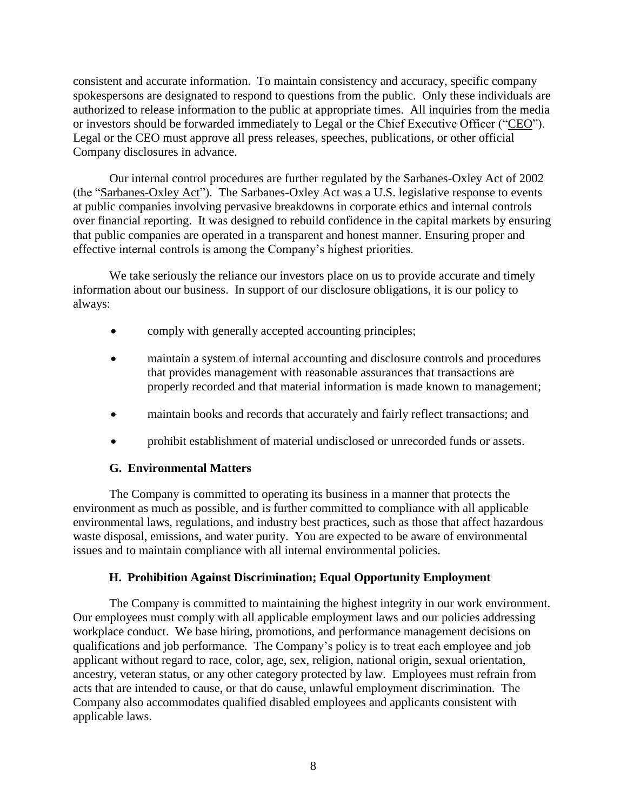consistent and accurate information. To maintain consistency and accuracy, specific company spokespersons are designated to respond to questions from the public. Only these individuals are authorized to release information to the public at appropriate times. All inquiries from the media or investors should be forwarded immediately to Legal or the Chief Executive Officer ("CEO"). Legal or the CEO must approve all press releases, speeches, publications, or other official Company disclosures in advance.

Our internal control procedures are further regulated by the Sarbanes-Oxley Act of 2002 (the "Sarbanes-Oxley Act"). The Sarbanes-Oxley Act was a U.S. legislative response to events at public companies involving pervasive breakdowns in corporate ethics and internal controls over financial reporting. It was designed to rebuild confidence in the capital markets by ensuring that public companies are operated in a transparent and honest manner. Ensuring proper and effective internal controls is among the Company's highest priorities.

We take seriously the reliance our investors place on us to provide accurate and timely information about our business. In support of our disclosure obligations, it is our policy to always:

- comply with generally accepted accounting principles;
- maintain a system of internal accounting and disclosure controls and procedures that provides management with reasonable assurances that transactions are properly recorded and that material information is made known to management;
- maintain books and records that accurately and fairly reflect transactions; and
- prohibit establishment of material undisclosed or unrecorded funds or assets.

## **G. Environmental Matters**

The Company is committed to operating its business in a manner that protects the environment as much as possible, and is further committed to compliance with all applicable environmental laws, regulations, and industry best practices, such as those that affect hazardous waste disposal, emissions, and water purity. You are expected to be aware of environmental issues and to maintain compliance with all internal environmental policies.

## **H. Prohibition Against Discrimination; Equal Opportunity Employment**

The Company is committed to maintaining the highest integrity in our work environment. Our employees must comply with all applicable employment laws and our policies addressing workplace conduct. We base hiring, promotions, and performance management decisions on qualifications and job performance. The Company's policy is to treat each employee and job applicant without regard to race, color, age, sex, religion, national origin, sexual orientation, ancestry, veteran status, or any other category protected by law. Employees must refrain from acts that are intended to cause, or that do cause, unlawful employment discrimination. The Company also accommodates qualified disabled employees and applicants consistent with applicable laws.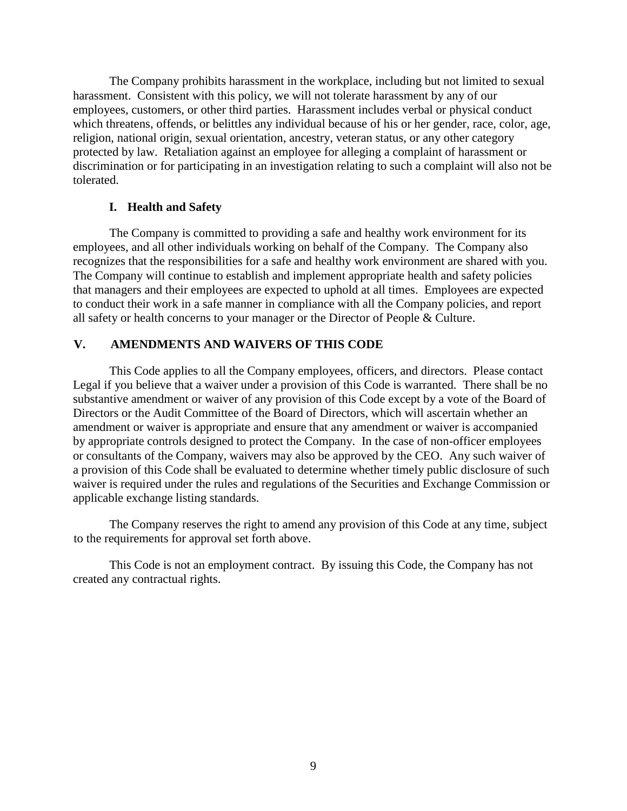The Company prohibits harassment in the workplace, including but not limited to sexual harassment. Consistent with this policy, we will not tolerate harassment by any of our employees, customers, or other third parties. Harassment includes verbal or physical conduct which threatens, offends, or belittles any individual because of his or her gender, race, color, age, religion, national origin, sexual orientation, ancestry, veteran status, or any other category protected by law. Retaliation against an employee for alleging a complaint of harassment or discrimination or for participating in an investigation relating to such a complaint will also not be tolerated.

#### **I. Health and Safety**

The Company is committed to providing a safe and healthy work environment for its employees, and all other individuals working on behalf of the Company. The Company also recognizes that the responsibilities for a safe and healthy work environment are shared with you. The Company will continue to establish and implement appropriate health and safety policies that managers and their employees are expected to uphold at all times. Employees are expected to conduct their work in a safe manner in compliance with all the Company policies, and report all safety or health concerns to your manager or the Director of People & Culture.

## **V. AMENDMENTS AND WAIVERS OF THIS CODE**

This Code applies to all the Company employees, officers, and directors. Please contact Legal if you believe that a waiver under a provision of this Code is warranted. There shall be no substantive amendment or waiver of any provision of this Code except by a vote of the Board of Directors or the Audit Committee of the Board of Directors, which will ascertain whether an amendment or waiver is appropriate and ensure that any amendment or waiver is accompanied by appropriate controls designed to protect the Company. In the case of non-officer employees or consultants of the Company, waivers may also be approved by the CEO. Any such waiver of a provision of this Code shall be evaluated to determine whether timely public disclosure of such waiver is required under the rules and regulations of the Securities and Exchange Commission or applicable exchange listing standards.

The Company reserves the right to amend any provision of this Code at any time, subject to the requirements for approval set forth above.

This Code is not an employment contract. By issuing this Code, the Company has not created any contractual rights.